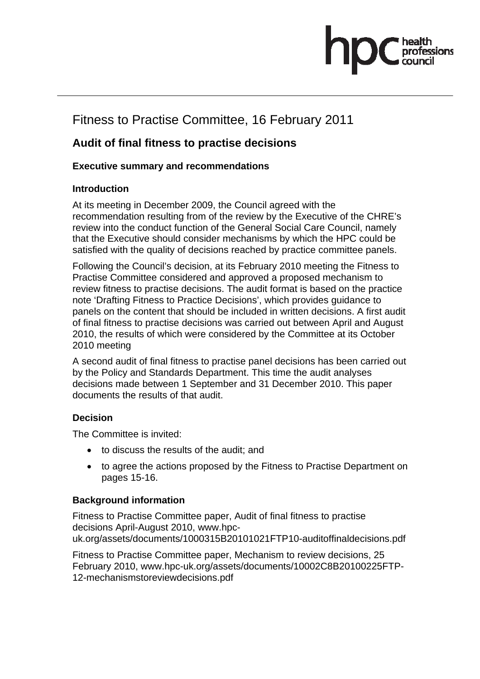# Fitness to Practise Committee, 16 February 2011

### **Audit of final fitness to practise decisions**

### **Executive summary and recommendations**

#### **Introduction**

At its meeting in December 2009, the Council agreed with the recommendation resulting from of the review by the Executive of the CHRE's review into the conduct function of the General Social Care Council, namely that the Executive should consider mechanisms by which the HPC could be satisfied with the quality of decisions reached by practice committee panels.

Following the Council's decision, at its February 2010 meeting the Fitness to Practise Committee considered and approved a proposed mechanism to review fitness to practise decisions. The audit format is based on the practice note 'Drafting Fitness to Practice Decisions', which provides guidance to panels on the content that should be included in written decisions. A first audit of final fitness to practise decisions was carried out between April and August 2010, the results of which were considered by the Committee at its October 2010 meeting

A second audit of final fitness to practise panel decisions has been carried out by the Policy and Standards Department. This time the audit analyses decisions made between 1 September and 31 December 2010. This paper documents the results of that audit.

### **Decision**

The Committee is invited:

- to discuss the results of the audit; and
- to agree the actions proposed by the Fitness to Practise Department on pages 15-16.

#### **Background information**

Fitness to Practise Committee paper, Audit of final fitness to practise decisions April-August 2010, www.hpcuk.org/assets/documents/1000315B20101021FTP10-auditoffinaldecisions.pdf

Fitness to Practise Committee paper, Mechanism to review decisions, 25 February 2010, www.hpc-uk.org/assets/documents/10002C8B20100225FTP-12-mechanismstoreviewdecisions.pdf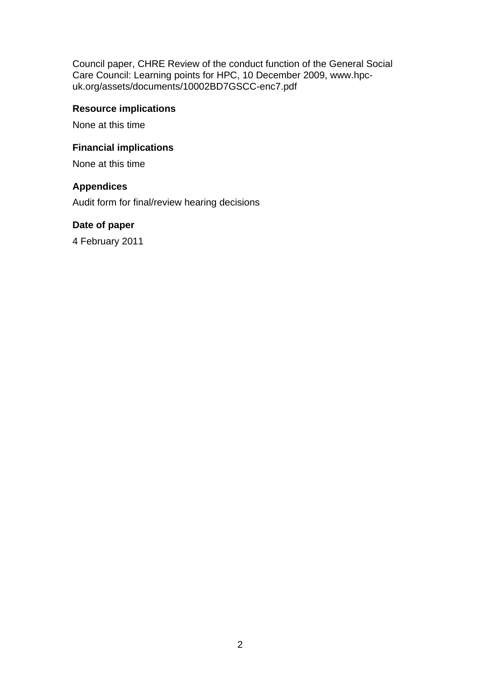Council paper, CHRE Review of the conduct function of the General Social Care Council: Learning points for HPC, 10 December 2009, www.hpcuk.org/assets/documents/10002BD7GSCC-enc7.pdf

#### **Resource implications**

None at this time

#### **Financial implications**

None at this time

#### **Appendices**

Audit form for final/review hearing decisions

#### **Date of paper**

4 February 2011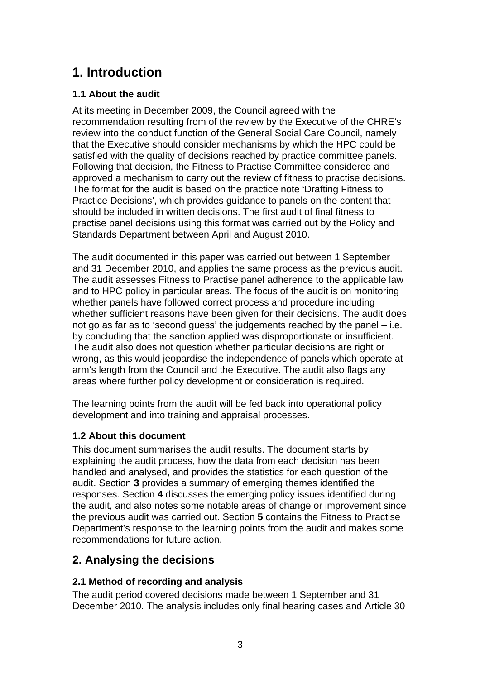# **1. Introduction**

#### **1.1 About the audit**

At its meeting in December 2009, the Council agreed with the recommendation resulting from of the review by the Executive of the CHRE's review into the conduct function of the General Social Care Council, namely that the Executive should consider mechanisms by which the HPC could be satisfied with the quality of decisions reached by practice committee panels. Following that decision, the Fitness to Practise Committee considered and approved a mechanism to carry out the review of fitness to practise decisions. The format for the audit is based on the practice note 'Drafting Fitness to Practice Decisions', which provides guidance to panels on the content that should be included in written decisions. The first audit of final fitness to practise panel decisions using this format was carried out by the Policy and Standards Department between April and August 2010.

The audit documented in this paper was carried out between 1 September and 31 December 2010, and applies the same process as the previous audit. The audit assesses Fitness to Practise panel adherence to the applicable law and to HPC policy in particular areas. The focus of the audit is on monitoring whether panels have followed correct process and procedure including whether sufficient reasons have been given for their decisions. The audit does not go as far as to 'second guess' the judgements reached by the panel – i.e. by concluding that the sanction applied was disproportionate or insufficient. The audit also does not question whether particular decisions are right or wrong, as this would jeopardise the independence of panels which operate at arm's length from the Council and the Executive. The audit also flags any areas where further policy development or consideration is required.

The learning points from the audit will be fed back into operational policy development and into training and appraisal processes.

#### **1.2 About this document**

This document summarises the audit results. The document starts by explaining the audit process, how the data from each decision has been handled and analysed, and provides the statistics for each question of the audit. Section **3** provides a summary of emerging themes identified the responses. Section **4** discusses the emerging policy issues identified during the audit, and also notes some notable areas of change or improvement since the previous audit was carried out. Section **5** contains the Fitness to Practise Department's response to the learning points from the audit and makes some recommendations for future action.

### **2. Analysing the decisions**

#### **2.1 Method of recording and analysis**

The audit period covered decisions made between 1 September and 31 December 2010. The analysis includes only final hearing cases and Article 30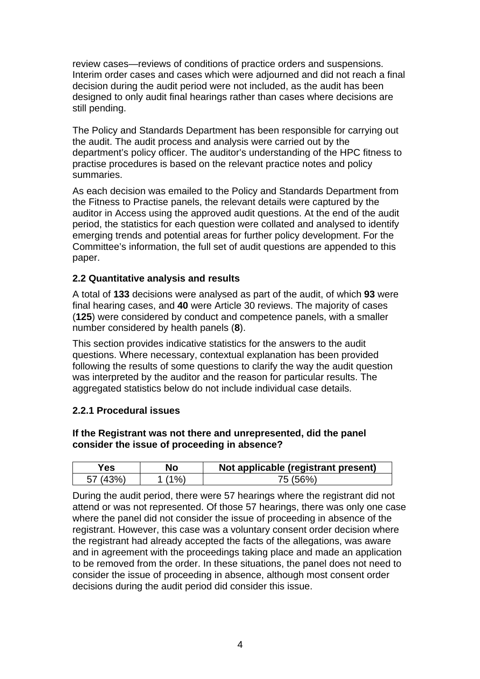review cases—reviews of conditions of practice orders and suspensions. Interim order cases and cases which were adjourned and did not reach a final decision during the audit period were not included, as the audit has been designed to only audit final hearings rather than cases where decisions are still pending.

The Policy and Standards Department has been responsible for carrying out the audit. The audit process and analysis were carried out by the department's policy officer. The auditor's understanding of the HPC fitness to practise procedures is based on the relevant practice notes and policy summaries.

As each decision was emailed to the Policy and Standards Department from the Fitness to Practise panels, the relevant details were captured by the auditor in Access using the approved audit questions. At the end of the audit period, the statistics for each question were collated and analysed to identify emerging trends and potential areas for further policy development. For the Committee's information, the full set of audit questions are appended to this paper.

#### **2.2 Quantitative analysis and results**

A total of **133** decisions were analysed as part of the audit, of which **93** were final hearing cases, and **40** were Article 30 reviews. The majority of cases (**125**) were considered by conduct and competence panels, with a smaller number considered by health panels (**8**).

This section provides indicative statistics for the answers to the audit questions. Where necessary, contextual explanation has been provided following the results of some questions to clarify the way the audit question was interpreted by the auditor and the reason for particular results. The aggregated statistics below do not include individual case details.

#### **2.2.1 Procedural issues**

#### **If the Registrant was not there and unrepresented, did the panel consider the issue of proceeding in absence?**

| Yes. | No    | Not applicable (registrant present) |
|------|-------|-------------------------------------|
|      | $1\%$ | 75 (56%)                            |

During the audit period, there were 57 hearings where the registrant did not attend or was not represented. Of those 57 hearings, there was only one case where the panel did not consider the issue of proceeding in absence of the registrant. However, this case was a voluntary consent order decision where the registrant had already accepted the facts of the allegations, was aware and in agreement with the proceedings taking place and made an application to be removed from the order. In these situations, the panel does not need to consider the issue of proceeding in absence, although most consent order decisions during the audit period did consider this issue.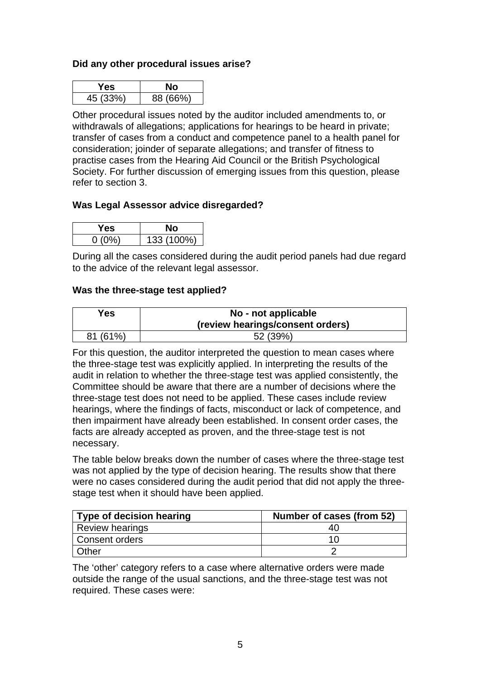#### **Did any other procedural issues arise?**

| es       |          |
|----------|----------|
| 45 (33%) | 88 (66%) |

Other procedural issues noted by the auditor included amendments to, or withdrawals of allegations; applications for hearings to be heard in private; transfer of cases from a conduct and competence panel to a health panel for consideration; joinder of separate allegations; and transfer of fitness to practise cases from the Hearing Aid Council or the British Psychological Society. For further discussion of emerging issues from this question, please refer to section 3.

#### **Was Legal Assessor advice disregarded?**

| Y es   |            |
|--------|------------|
| 0 (በ‰ነ | 133 (100%) |

During all the cases considered during the audit period panels had due regard to the advice of the relevant legal assessor.

#### **Was the three-stage test applied?**

| Yes      | No - not applicable<br>(review hearings/consent orders) |
|----------|---------------------------------------------------------|
| 81 (61%) | 52 (39%)                                                |

For this question, the auditor interpreted the question to mean cases where the three-stage test was explicitly applied. In interpreting the results of the audit in relation to whether the three-stage test was applied consistently, the Committee should be aware that there are a number of decisions where the three-stage test does not need to be applied. These cases include review hearings, where the findings of facts, misconduct or lack of competence, and then impairment have already been established. In consent order cases, the facts are already accepted as proven, and the three-stage test is not necessary.

The table below breaks down the number of cases where the three-stage test was not applied by the type of decision hearing. The results show that there were no cases considered during the audit period that did not apply the threestage test when it should have been applied.

| <b>Type of decision hearing</b> | Number of cases (from 52) |
|---------------------------------|---------------------------|
| Review hearings                 | 40                        |
| Consent orders                  | 16 L                      |
| Other                           |                           |

The 'other' category refers to a case where alternative orders were made outside the range of the usual sanctions, and the three-stage test was not required. These cases were: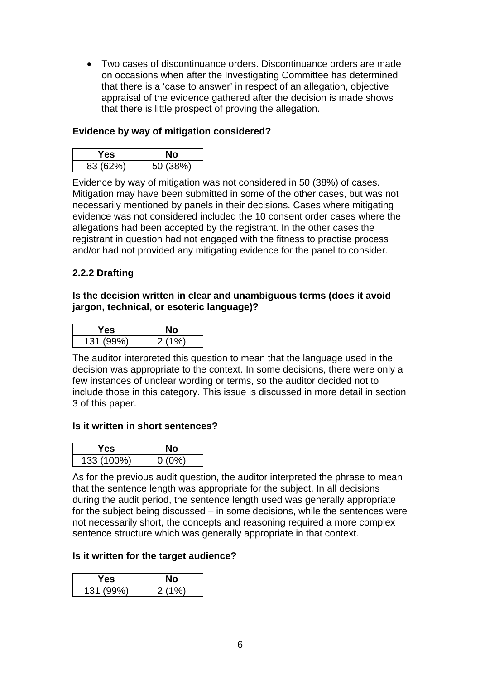• Two cases of discontinuance orders. Discontinuance orders are made on occasions when after the Investigating Committee has determined that there is a 'case to answer' in respect of an allegation, objective appraisal of the evidence gathered after the decision is made shows that there is little prospect of proving the allegation.

#### **Evidence by way of mitigation considered?**

| res      |          |
|----------|----------|
| 83 (62%) | 50 (38%) |

Evidence by way of mitigation was not considered in 50 (38%) of cases. Mitigation may have been submitted in some of the other cases, but was not necessarily mentioned by panels in their decisions. Cases where mitigating evidence was not considered included the 10 consent order cases where the allegations had been accepted by the registrant. In the other cases the registrant in question had not engaged with the fitness to practise process and/or had not provided any mitigating evidence for the panel to consider.

#### **2.2.2 Drafting**

#### **Is the decision written in clear and unambiguous terms (does it avoid jargon, technical, or esoteric language)?**

| ×es ∶     |       |
|-----------|-------|
| 131 (99%) | 2(10) |

The auditor interpreted this question to mean that the language used in the decision was appropriate to the context. In some decisions, there were only a few instances of unclear wording or terms, so the auditor decided not to include those in this category. This issue is discussed in more detail in section 3 of this paper.

#### **Is it written in short sentences?**

| Y es       |          |
|------------|----------|
| 133 (100%) | $0(0\%)$ |

As for the previous audit question, the auditor interpreted the phrase to mean that the sentence length was appropriate for the subject. In all decisions during the audit period, the sentence length used was generally appropriate for the subject being discussed – in some decisions, while the sentences were not necessarily short, the concepts and reasoning required a more complex sentence structure which was generally appropriate in that context.

#### **Is it written for the target audience?**

| r es      |         |
|-----------|---------|
| 131 (99%) | 2(10/3) |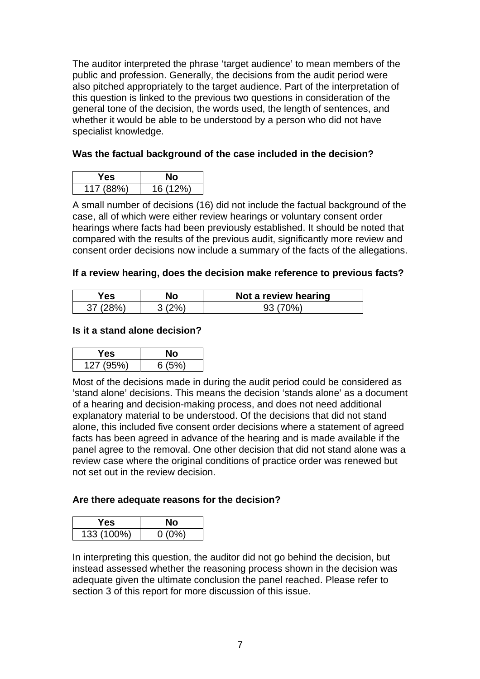The auditor interpreted the phrase 'target audience' to mean members of the public and profession. Generally, the decisions from the audit period were also pitched appropriately to the target audience. Part of the interpretation of this question is linked to the previous two questions in consideration of the general tone of the decision, the words used, the length of sentences, and whether it would be able to be understood by a person who did not have specialist knowledge.

#### **Was the factual background of the case included in the decision?**

| r es      |          |
|-----------|----------|
| 117 (88%) | 16 (12%) |

A small number of decisions (16) did not include the factual background of the case, all of which were either review hearings or voluntary consent order hearings where facts had been previously established. It should be noted that compared with the results of the previous audit, significantly more review and consent order decisions now include a summary of the facts of the allegations.

#### **If a review hearing, does the decision make reference to previous facts?**

| ′es∶ | No | Not a review hearing |
|------|----|----------------------|
|      |    |                      |

#### **Is it a stand alone decision?**

| res.      |       |
|-----------|-------|
| 127 (95%) | 6(5%) |

Most of the decisions made in during the audit period could be considered as 'stand alone' decisions. This means the decision 'stands alone' as a document of a hearing and decision-making process, and does not need additional explanatory material to be understood. Of the decisions that did not stand alone, this included five consent order decisions where a statement of agreed facts has been agreed in advance of the hearing and is made available if the panel agree to the removal. One other decision that did not stand alone was a review case where the original conditions of practice order was renewed but not set out in the review decision.

#### **Are there adequate reasons for the decision?**

| r es       | ٩O       |
|------------|----------|
| 133 (100%) | $0(0\%)$ |

In interpreting this question, the auditor did not go behind the decision, but instead assessed whether the reasoning process shown in the decision was adequate given the ultimate conclusion the panel reached. Please refer to section 3 of this report for more discussion of this issue.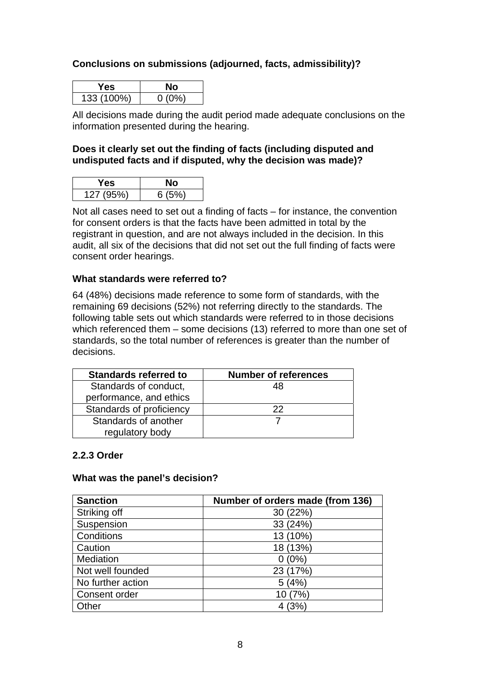#### **Conclusions on submissions (adjourned, facts, admissibility)?**

| ∗es        |          |
|------------|----------|
| 133 (100%) | $0(0\%)$ |

All decisions made during the audit period made adequate conclusions on the information presented during the hearing.

#### **Does it clearly set out the finding of facts (including disputed and undisputed facts and if disputed, why the decision was made)?**

| r es      |       |
|-----------|-------|
| 127 (95%) | 6(5%) |

Not all cases need to set out a finding of facts – for instance, the convention for consent orders is that the facts have been admitted in total by the registrant in question, and are not always included in the decision. In this audit, all six of the decisions that did not set out the full finding of facts were consent order hearings.

#### **What standards were referred to?**

64 (48%) decisions made reference to some form of standards, with the remaining 69 decisions (52%) not referring directly to the standards. The following table sets out which standards were referred to in those decisions which referenced them – some decisions (13) referred to more than one set of standards, so the total number of references is greater than the number of decisions.

| <b>Standards referred to</b> | <b>Number of references</b> |
|------------------------------|-----------------------------|
| Standards of conduct,        | 48                          |
| performance, and ethics      |                             |
| Standards of proficiency     | つつ                          |
| Standards of another         |                             |
| regulatory body              |                             |

#### **2.2.3 Order**

#### **What was the panel's decision?**

| <b>Sanction</b>   | Number of orders made (from 136) |
|-------------------|----------------------------------|
| Striking off      | 30 (22%)                         |
| Suspension        | 33 (24%)                         |
| Conditions        | 13 (10%)                         |
| Caution           | 18 (13%)                         |
| Mediation         | 0(0%                             |
| Not well founded  | 23 (17%)                         |
| No further action | 5(4%)                            |
| Consent order     | 10 (7%)                          |
| Other             | (3%                              |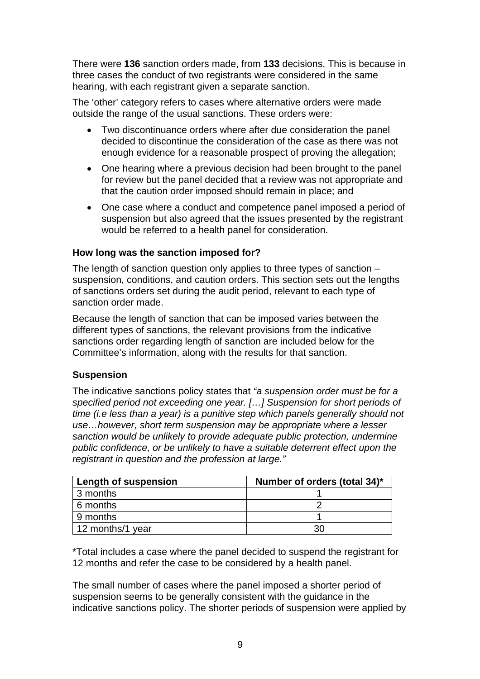There were **136** sanction orders made, from **133** decisions. This is because in three cases the conduct of two registrants were considered in the same hearing, with each registrant given a separate sanction.

The 'other' category refers to cases where alternative orders were made outside the range of the usual sanctions. These orders were:

- Two discontinuance orders where after due consideration the panel decided to discontinue the consideration of the case as there was not enough evidence for a reasonable prospect of proving the allegation;
- One hearing where a previous decision had been brought to the panel for review but the panel decided that a review was not appropriate and that the caution order imposed should remain in place; and
- One case where a conduct and competence panel imposed a period of suspension but also agreed that the issues presented by the registrant would be referred to a health panel for consideration.

#### **How long was the sanction imposed for?**

The length of sanction question only applies to three types of sanction – suspension, conditions, and caution orders. This section sets out the lengths of sanctions orders set during the audit period, relevant to each type of sanction order made.

Because the length of sanction that can be imposed varies between the different types of sanctions, the relevant provisions from the indicative sanctions order regarding length of sanction are included below for the Committee's information, along with the results for that sanction.

#### **Suspension**

The indicative sanctions policy states that *"a suspension order must be for a specified period not exceeding one year. […] Suspension for short periods of time (i.e less than a year) is a punitive step which panels generally should not use…however, short term suspension may be appropriate where a lesser sanction would be unlikely to provide adequate public protection, undermine public confidence, or be unlikely to have a suitable deterrent effect upon the registrant in question and the profession at large."* 

| Length of suspension | Number of orders (total 34)* |
|----------------------|------------------------------|
| 3 months             |                              |
| 6 months             |                              |
| 9 months             |                              |
| 12 months/1 year     |                              |

\*Total includes a case where the panel decided to suspend the registrant for 12 months and refer the case to be considered by a health panel.

The small number of cases where the panel imposed a shorter period of suspension seems to be generally consistent with the guidance in the indicative sanctions policy. The shorter periods of suspension were applied by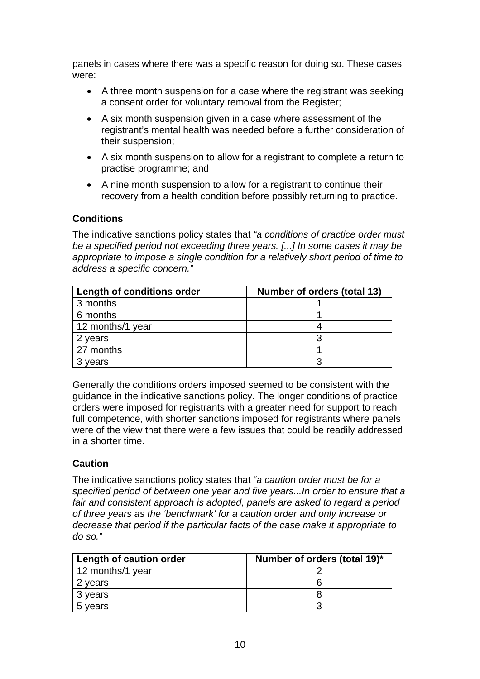panels in cases where there was a specific reason for doing so. These cases were:

- A three month suspension for a case where the registrant was seeking a consent order for voluntary removal from the Register;
- A six month suspension given in a case where assessment of the registrant's mental health was needed before a further consideration of their suspension;
- A six month suspension to allow for a registrant to complete a return to practise programme; and
- A nine month suspension to allow for a registrant to continue their recovery from a health condition before possibly returning to practice.

#### **Conditions**

The indicative sanctions policy states that *"a conditions of practice order must be a specified period not exceeding three years. [...] In some cases it may be appropriate to impose a single condition for a relatively short period of time to address a specific concern."* 

| Length of conditions order | Number of orders (total 13) |
|----------------------------|-----------------------------|
| 3 months                   |                             |
| 6 months                   |                             |
| 12 months/1 year           |                             |
| 2 years                    |                             |
| 27 months                  |                             |
| 3 years                    |                             |

Generally the conditions orders imposed seemed to be consistent with the guidance in the indicative sanctions policy. The longer conditions of practice orders were imposed for registrants with a greater need for support to reach full competence, with shorter sanctions imposed for registrants where panels were of the view that there were a few issues that could be readily addressed in a shorter time.

#### **Caution**

The indicative sanctions policy states that *"a caution order must be for a specified period of between one year and five years...In order to ensure that a fair and consistent approach is adopted, panels are asked to regard a period of three years as the 'benchmark' for a caution order and only increase or decrease that period if the particular facts of the case make it appropriate to do so."* 

| Length of caution order | Number of orders (total 19)* |
|-------------------------|------------------------------|
| 12 months/1 year        |                              |
| 2 years                 |                              |
| 3 years                 |                              |
| vears                   |                              |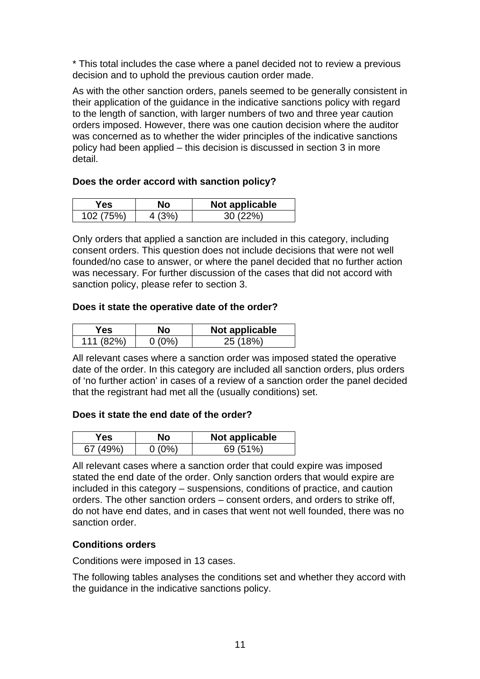\* This total includes the case where a panel decided not to review a previous decision and to uphold the previous caution order made.

As with the other sanction orders, panels seemed to be generally consistent in their application of the guidance in the indicative sanctions policy with regard to the length of sanction, with larger numbers of two and three year caution orders imposed. However, there was one caution decision where the auditor was concerned as to whether the wider principles of the indicative sanctions policy had been applied – this decision is discussed in section 3 in more detail.

#### **Does the order accord with sanction policy?**

| r es      | Nο | Not applicable |
|-----------|----|----------------|
| 102 (75%) |    | 30/22%         |

Only orders that applied a sanction are included in this category, including consent orders. This question does not include decisions that were not well founded/no case to answer, or where the panel decided that no further action was necessary. For further discussion of the cases that did not accord with sanction policy, please refer to section 3.

#### **Does it state the operative date of the order?**

| Yes       | Nο       | Not applicable |
|-----------|----------|----------------|
| 111 (82%) | $0(0\%)$ | 25 (18%)       |

All relevant cases where a sanction order was imposed stated the operative date of the order. In this category are included all sanction orders, plus orders of 'no further action' in cases of a review of a sanction order the panel decided that the registrant had met all the (usually conditions) set.

#### **Does it state the end date of the order?**

| es: | Not applicable |
|-----|----------------|
|     |                |

All relevant cases where a sanction order that could expire was imposed stated the end date of the order. Only sanction orders that would expire are included in this category – suspensions, conditions of practice, and caution orders. The other sanction orders – consent orders, and orders to strike off, do not have end dates, and in cases that went not well founded, there was no sanction order.

#### **Conditions orders**

Conditions were imposed in 13 cases.

The following tables analyses the conditions set and whether they accord with the guidance in the indicative sanctions policy.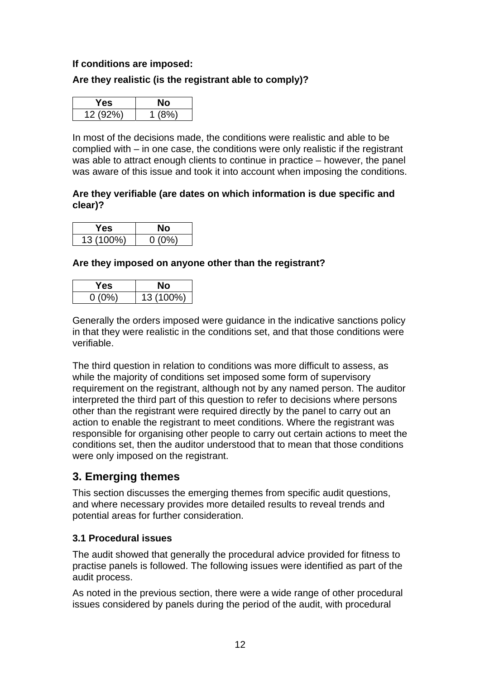#### **If conditions are imposed:**

#### **Are they realistic (is the registrant able to comply)?**

| res.     | чо   |
|----------|------|
| 12 (92%) | /ደሳረ |

In most of the decisions made, the conditions were realistic and able to be complied with – in one case, the conditions were only realistic if the registrant was able to attract enough clients to continue in practice – however, the panel was aware of this issue and took it into account when imposing the conditions.

#### **Are they verifiable (are dates on which information is due specific and clear)?**

| res.      |          |
|-----------|----------|
| 13 (100%) | $0(0\%)$ |

#### **Are they imposed on anyone other than the registrant?**

| res d'   |           |
|----------|-----------|
| $0(0\%)$ | 13 (100%) |

Generally the orders imposed were guidance in the indicative sanctions policy in that they were realistic in the conditions set, and that those conditions were verifiable.

The third question in relation to conditions was more difficult to assess, as while the majority of conditions set imposed some form of supervisory requirement on the registrant, although not by any named person. The auditor interpreted the third part of this question to refer to decisions where persons other than the registrant were required directly by the panel to carry out an action to enable the registrant to meet conditions. Where the registrant was responsible for organising other people to carry out certain actions to meet the conditions set, then the auditor understood that to mean that those conditions were only imposed on the registrant.

### **3. Emerging themes**

This section discusses the emerging themes from specific audit questions, and where necessary provides more detailed results to reveal trends and potential areas for further consideration.

#### **3.1 Procedural issues**

The audit showed that generally the procedural advice provided for fitness to practise panels is followed. The following issues were identified as part of the audit process.

As noted in the previous section, there were a wide range of other procedural issues considered by panels during the period of the audit, with procedural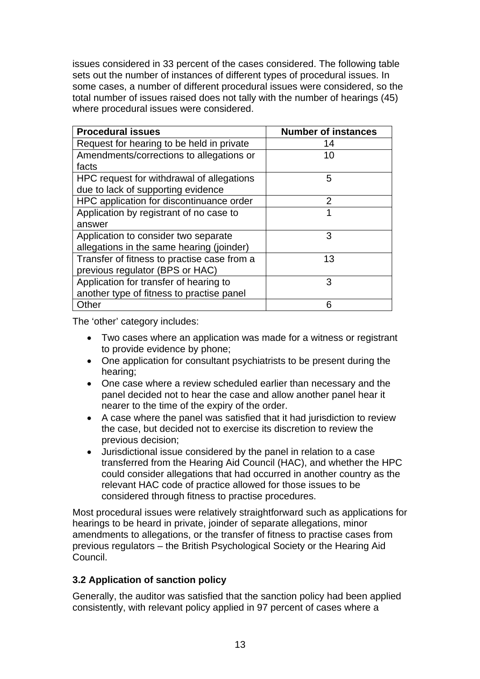issues considered in 33 percent of the cases considered. The following table sets out the number of instances of different types of procedural issues. In some cases, a number of different procedural issues were considered, so the total number of issues raised does not tally with the number of hearings (45) where procedural issues were considered.

| <b>Procedural issues</b>                    | <b>Number of instances</b> |
|---------------------------------------------|----------------------------|
| Request for hearing to be held in private   | 14                         |
| Amendments/corrections to allegations or    | 10                         |
| facts                                       |                            |
| HPC request for withdrawal of allegations   | 5                          |
| due to lack of supporting evidence          |                            |
| HPC application for discontinuance order    | 2                          |
| Application by registrant of no case to     | 1                          |
| answer                                      |                            |
| Application to consider two separate        | 3                          |
| allegations in the same hearing (joinder)   |                            |
| Transfer of fitness to practise case from a | 13                         |
| previous regulator (BPS or HAC)             |                            |
| Application for transfer of hearing to      | 3                          |
| another type of fitness to practise panel   |                            |
| Other                                       | 6                          |

The 'other' category includes:

- Two cases where an application was made for a witness or registrant to provide evidence by phone;
- One application for consultant psychiatrists to be present during the hearing;
- One case where a review scheduled earlier than necessary and the panel decided not to hear the case and allow another panel hear it nearer to the time of the expiry of the order.
- A case where the panel was satisfied that it had jurisdiction to review the case, but decided not to exercise its discretion to review the previous decision;
- Jurisdictional issue considered by the panel in relation to a case transferred from the Hearing Aid Council (HAC), and whether the HPC could consider allegations that had occurred in another country as the relevant HAC code of practice allowed for those issues to be considered through fitness to practise procedures.

Most procedural issues were relatively straightforward such as applications for hearings to be heard in private, joinder of separate allegations, minor amendments to allegations, or the transfer of fitness to practise cases from previous regulators – the British Psychological Society or the Hearing Aid Council.

#### **3.2 Application of sanction policy**

Generally, the auditor was satisfied that the sanction policy had been applied consistently, with relevant policy applied in 97 percent of cases where a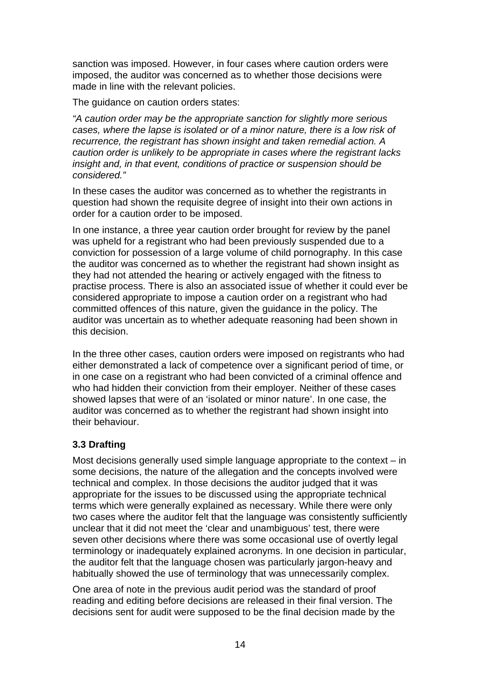sanction was imposed. However, in four cases where caution orders were imposed, the auditor was concerned as to whether those decisions were made in line with the relevant policies.

The guidance on caution orders states:

*"A caution order may be the appropriate sanction for slightly more serious cases, where the lapse is isolated or of a minor nature, there is a low risk of recurrence, the registrant has shown insight and taken remedial action. A caution order is unlikely to be appropriate in cases where the registrant lacks insight and, in that event, conditions of practice or suspension should be considered."* 

In these cases the auditor was concerned as to whether the registrants in question had shown the requisite degree of insight into their own actions in order for a caution order to be imposed.

In one instance, a three year caution order brought for review by the panel was upheld for a registrant who had been previously suspended due to a conviction for possession of a large volume of child pornography. In this case the auditor was concerned as to whether the registrant had shown insight as they had not attended the hearing or actively engaged with the fitness to practise process. There is also an associated issue of whether it could ever be considered appropriate to impose a caution order on a registrant who had committed offences of this nature, given the guidance in the policy. The auditor was uncertain as to whether adequate reasoning had been shown in this decision.

In the three other cases, caution orders were imposed on registrants who had either demonstrated a lack of competence over a significant period of time, or in one case on a registrant who had been convicted of a criminal offence and who had hidden their conviction from their employer. Neither of these cases showed lapses that were of an 'isolated or minor nature'. In one case, the auditor was concerned as to whether the registrant had shown insight into their behaviour.

### **3.3 Drafting**

Most decisions generally used simple language appropriate to the context – in some decisions, the nature of the allegation and the concepts involved were technical and complex. In those decisions the auditor judged that it was appropriate for the issues to be discussed using the appropriate technical terms which were generally explained as necessary. While there were only two cases where the auditor felt that the language was consistently sufficiently unclear that it did not meet the 'clear and unambiguous' test, there were seven other decisions where there was some occasional use of overtly legal terminology or inadequately explained acronyms. In one decision in particular, the auditor felt that the language chosen was particularly jargon-heavy and habitually showed the use of terminology that was unnecessarily complex.

One area of note in the previous audit period was the standard of proof reading and editing before decisions are released in their final version. The decisions sent for audit were supposed to be the final decision made by the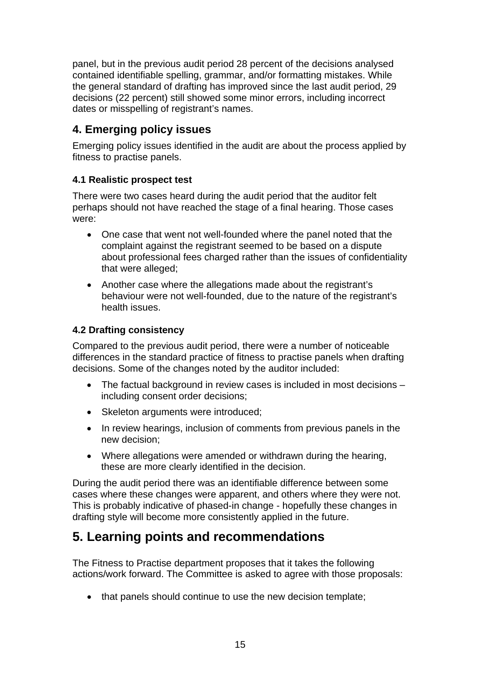panel, but in the previous audit period 28 percent of the decisions analysed contained identifiable spelling, grammar, and/or formatting mistakes. While the general standard of drafting has improved since the last audit period, 29 decisions (22 percent) still showed some minor errors, including incorrect dates or misspelling of registrant's names.

### **4. Emerging policy issues**

Emerging policy issues identified in the audit are about the process applied by fitness to practise panels.

#### **4.1 Realistic prospect test**

There were two cases heard during the audit period that the auditor felt perhaps should not have reached the stage of a final hearing. Those cases were:

- One case that went not well-founded where the panel noted that the complaint against the registrant seemed to be based on a dispute about professional fees charged rather than the issues of confidentiality that were alleged;
- Another case where the allegations made about the registrant's behaviour were not well-founded, due to the nature of the registrant's health issues.

### **4.2 Drafting consistency**

Compared to the previous audit period, there were a number of noticeable differences in the standard practice of fitness to practise panels when drafting decisions. Some of the changes noted by the auditor included:

- The factual background in review cases is included in most decisions including consent order decisions;
- Skeleton arguments were introduced;
- In review hearings, inclusion of comments from previous panels in the new decision;
- Where allegations were amended or withdrawn during the hearing, these are more clearly identified in the decision.

During the audit period there was an identifiable difference between some cases where these changes were apparent, and others where they were not. This is probably indicative of phased-in change - hopefully these changes in drafting style will become more consistently applied in the future.

# **5. Learning points and recommendations**

The Fitness to Practise department proposes that it takes the following actions/work forward. The Committee is asked to agree with those proposals:

• that panels should continue to use the new decision template;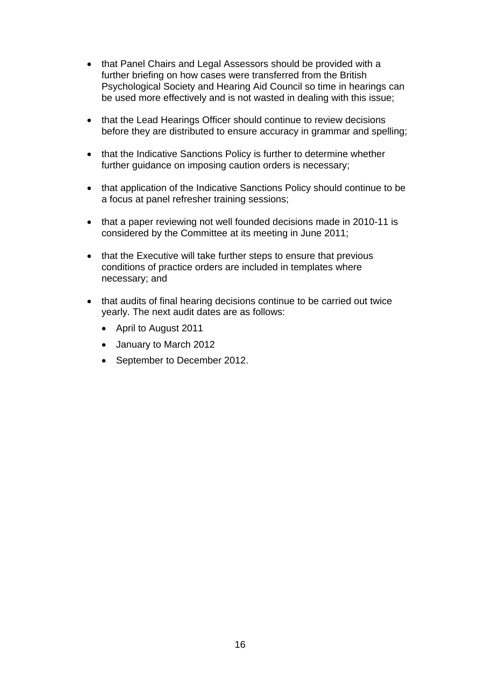- that Panel Chairs and Legal Assessors should be provided with a further briefing on how cases were transferred from the British Psychological Society and Hearing Aid Council so time in hearings can be used more effectively and is not wasted in dealing with this issue;
- that the Lead Hearings Officer should continue to review decisions before they are distributed to ensure accuracy in grammar and spelling;
- that the Indicative Sanctions Policy is further to determine whether further guidance on imposing caution orders is necessary;
- that application of the Indicative Sanctions Policy should continue to be a focus at panel refresher training sessions;
- that a paper reviewing not well founded decisions made in 2010-11 is considered by the Committee at its meeting in June 2011;
- that the Executive will take further steps to ensure that previous conditions of practice orders are included in templates where necessary; and
- that audits of final hearing decisions continue to be carried out twice yearly. The next audit dates are as follows:
	- April to August 2011
	- January to March 2012
	- September to December 2012.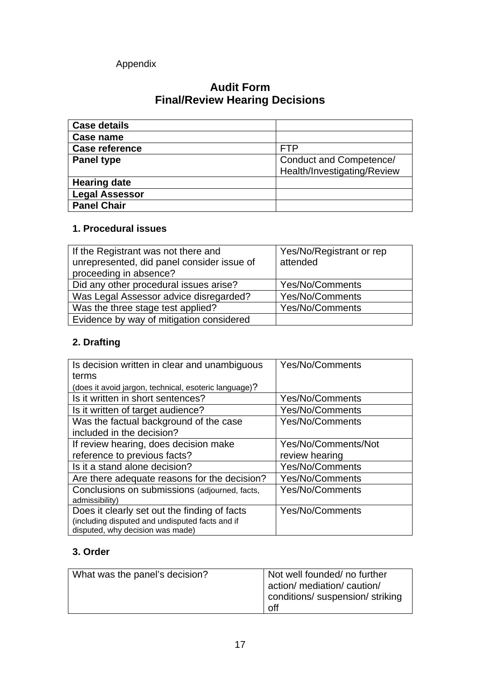### Appendix

## **Audit Form Final/Review Hearing Decisions**

| <b>Case details</b>   |                             |
|-----------------------|-----------------------------|
| Case name             |                             |
| Case reference        | FTP                         |
| <b>Panel type</b>     | Conduct and Competence/     |
|                       | Health/Investigating/Review |
| <b>Hearing date</b>   |                             |
| <b>Legal Assessor</b> |                             |
| <b>Panel Chair</b>    |                             |

### **1. Procedural issues**

| If the Registrant was not there and<br>unrepresented, did panel consider issue of<br>proceeding in absence? | Yes/No/Registrant or rep<br>attended |
|-------------------------------------------------------------------------------------------------------------|--------------------------------------|
| Did any other procedural issues arise?                                                                      | Yes/No/Comments                      |
| Was Legal Assessor advice disregarded?                                                                      | <b>Yes/No/Comments</b>               |
| Was the three stage test applied?                                                                           | <b>Yes/No/Comments</b>               |
| Evidence by way of mitigation considered                                                                    |                                      |

# **2. Drafting**

| Is decision written in clear and unambiguous<br>terms                                                                               | <b>Yes/No/Comments</b>                |
|-------------------------------------------------------------------------------------------------------------------------------------|---------------------------------------|
| (does it avoid jargon, technical, esoteric language)?                                                                               |                                       |
| Is it written in short sentences?                                                                                                   | Yes/No/Comments                       |
| Is it written of target audience?                                                                                                   | <b>Yes/No/Comments</b>                |
| Was the factual background of the case<br>included in the decision?                                                                 | <b>Yes/No/Comments</b>                |
| If review hearing, does decision make<br>reference to previous facts?                                                               | Yes/No/Comments/Not<br>review hearing |
| Is it a stand alone decision?                                                                                                       | <b>Yes/No/Comments</b>                |
| Are there adequate reasons for the decision?                                                                                        | <b>Yes/No/Comments</b>                |
| Conclusions on submissions (adjourned, facts,<br>admissibility)                                                                     | <b>Yes/No/Comments</b>                |
| Does it clearly set out the finding of facts<br>(including disputed and undisputed facts and if<br>disputed, why decision was made) | <b>Yes/No/Comments</b>                |

### **3. Order**

| What was the panel's decision? | Not well founded/ no further     |
|--------------------------------|----------------------------------|
|                                | action/ mediation/ caution/      |
|                                | conditions/ suspension/ striking |
|                                | off                              |